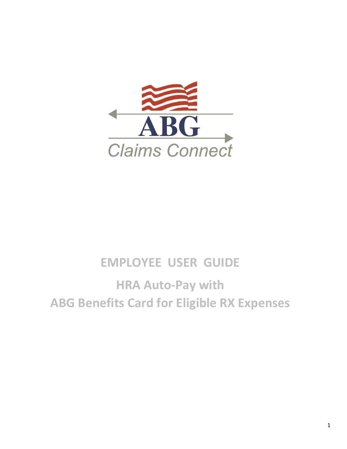

## **EMPLOYEE USER GUIDE**

# **HRA Auto-Pay with ABG Benefits Card for Eligible RX Expenses**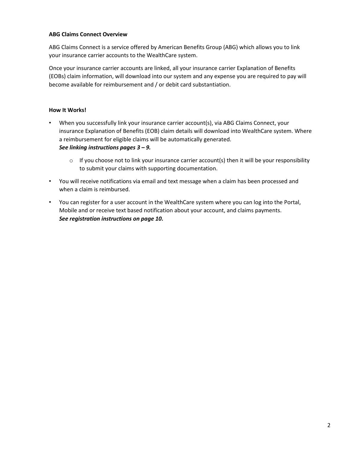#### **ABG Claims Connect Overview**

ABG Claims Connect is a service offered by American Benefits Group (ABG) which allows you to link your insurance carrier accounts to the WealthCare system.

Once your insurance carrier accounts are linked, all your insurance carrier Explanation of Benefits (EOBs) claim information, will download into our system and any expense you are required to pay will become available for reimbursement and / or debit card substantiation.

#### **How It Works!**

• When you successfully link your insurance carrier account(s), via ABG Claims Connect, your insurance Explanation of Benefits (EOB) claim details will download into WealthCare system. Where a reimbursement for eligible claims will be automatically generated.

#### *See linking instructions pages 3 – 9.*

- $\circ$  If you choose not to link your insurance carrier account(s) then it will be your responsibility to submit your claims with supporting documentation.
- You will receive notifications via email and text message when a claim has been processed and when a claim is reimbursed.
- You can register for a user account in the WealthCare system where you can log into the Portal, Mobile and or receive text based notification about your account, and claims payments. *See registration instructions on page 10.*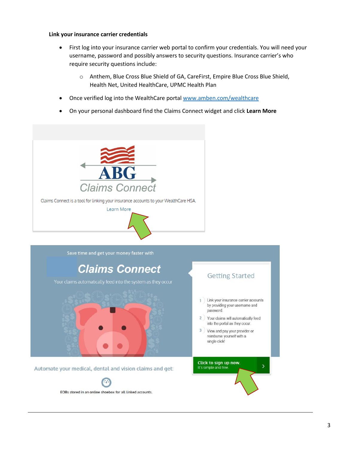#### **Link your insurance carrier credentials**

- First log into your insurance carrier web portal to confirm your credentials. You will need your username, password and possibly answers to security questions. Insurance carrier's who require security questions include:
	- o Anthem, Blue Cross Blue Shield of GA, CareFirst, Empire Blue Cross Blue Shield, Health Net, United HealthCare, UPMC Health Plan
- Once verified log into the WealthCare portal [www.amben.com/wealthcare](http://www.amben.com/wealthcare)
- On your personal dashboard find the Claims Connect widget and click **Learn More**

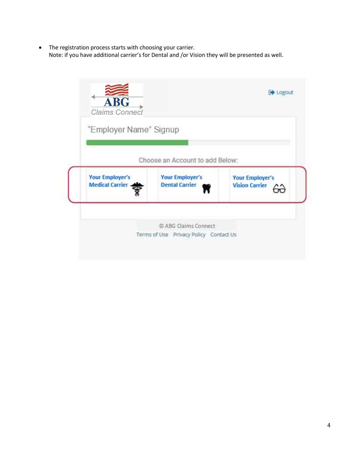The registration process starts with choosing your carrier. Note: if you have additional carrier's for Dental and /or Vision they will be presented as well.

| "Employer Name" Signup                           |                                                 |                                                 |
|--------------------------------------------------|-------------------------------------------------|-------------------------------------------------|
|                                                  | Choose an Account to add Below:                 |                                                 |
| <b>Your Employer's</b><br><b>Medical Carrier</b> | <b>Your Employer's</b><br><b>Dental Carrier</b> | <b>Your Employer's</b><br><b>Vision Carrier</b> |
|                                                  |                                                 |                                                 |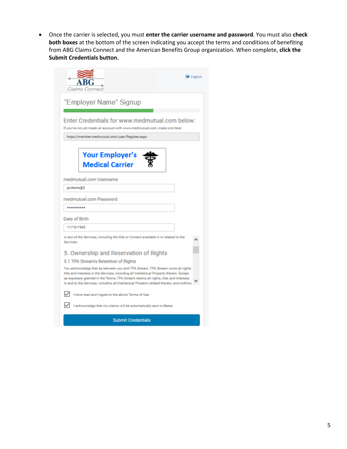Once the carrier is selected, you must **enter the carrier username and password**. You must also **check both boxes** at the bottom of the screen indicating you accept the terms and conditions of benefiting from ABG Claims Connect and the American Benefits Group organization. When complete, **click the Submit Credentials button.** 

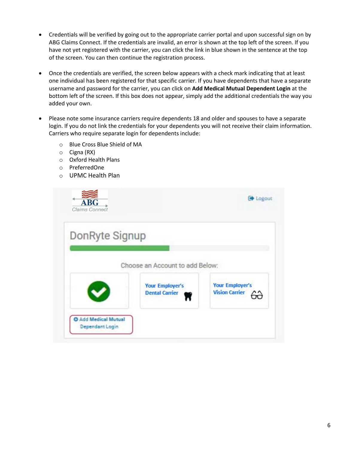- Credentials will be verified by going out to the appropriate carrier portal and upon successful sign on by ABG Claims Connect. If the credentials are invalid, an error is shown at the top left of the screen. If you have not yet registered with the carrier, you can click the link in blue shown in the sentence at the top of the screen. You can then continue the registration process.
- Once the credentials are verified, the screen below appears with a check mark indicating that at least one individual has been registered for that specific carrier. If you have dependents that have a separate username and password for the carrier, you can click on **Add Medical Mutual Dependent Login** at the bottom left of the screen. If this box does not appear, simply add the additional credentials the way you added your own.
- Please note some insurance carriers require dependents 18 and older and spouses to have a separate login. If you do not link the credentials for your dependents you will not receive their claim information. Carriers who require separate login for dependents include:
	- o Blue Cross Blue Shield of MA
	- o Cigna (RX)
	- o Oxford Health Plans
	- o PreferredOne
	- o UPMC Health Plan

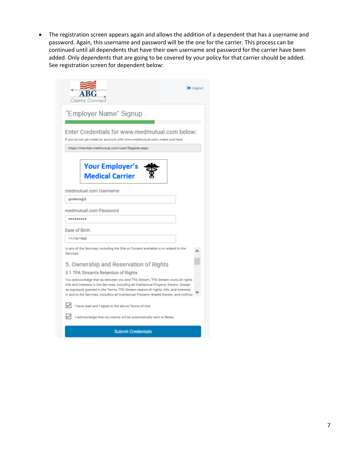The registration screen appears again and allows the addition of a dependent that has a username and password. Again, this username and password will be the one for the carrier. This process can be continued until all dependents that have their own username and password for the carrier have been added. Only dependents that are going to be covered by your policy for that carrier should be added. See registration screen for dependent below:

| <b>Contact</b><br>Claims Connect                                                                                                                                                                                                                                                                                                                                 |  |  |  |  |
|------------------------------------------------------------------------------------------------------------------------------------------------------------------------------------------------------------------------------------------------------------------------------------------------------------------------------------------------------------------|--|--|--|--|
| "Employer Name" Signup                                                                                                                                                                                                                                                                                                                                           |  |  |  |  |
| Enter Credentials for www.medmutual.com below:<br>If you've not yet made an account with www.medmutual.com, make one here:                                                                                                                                                                                                                                       |  |  |  |  |
| https://member.medmutual.com/user/Register.aspx                                                                                                                                                                                                                                                                                                                  |  |  |  |  |
| <b>Your Employer's</b><br><b>Medical Carrier</b>                                                                                                                                                                                                                                                                                                                 |  |  |  |  |
| medmutual.com Username                                                                                                                                                                                                                                                                                                                                           |  |  |  |  |
| groberts@\$                                                                                                                                                                                                                                                                                                                                                      |  |  |  |  |
| medmutual.com Password                                                                                                                                                                                                                                                                                                                                           |  |  |  |  |
|                                                                                                                                                                                                                                                                                                                                                                  |  |  |  |  |
| Date of Birth                                                                                                                                                                                                                                                                                                                                                    |  |  |  |  |
| 11/19/1965                                                                                                                                                                                                                                                                                                                                                       |  |  |  |  |
| in any of the Services, including the Site or Content available in or related to the<br>Services.                                                                                                                                                                                                                                                                |  |  |  |  |
| 5. Ownership and Reservation of Rights                                                                                                                                                                                                                                                                                                                           |  |  |  |  |
| 5.1 TPA Stream's Retention of Rights                                                                                                                                                                                                                                                                                                                             |  |  |  |  |
| You acknowledge that as between you and TPA Stream, TPA Stream owns all rights<br>title and interests in the Services, including all Intellectual Property therein. Except<br>as expressly granted in the Terms, TPA Stream retains all rights, title, and interests<br>in and to the Services, including all Intellectual Property related thereto, and nothing |  |  |  |  |
| I have read and I agree to the above Terms of Use                                                                                                                                                                                                                                                                                                                |  |  |  |  |
| I acknowledge that my claims will be automatically sent to Demo                                                                                                                                                                                                                                                                                                  |  |  |  |  |
| <b>Submit Credentials</b>                                                                                                                                                                                                                                                                                                                                        |  |  |  |  |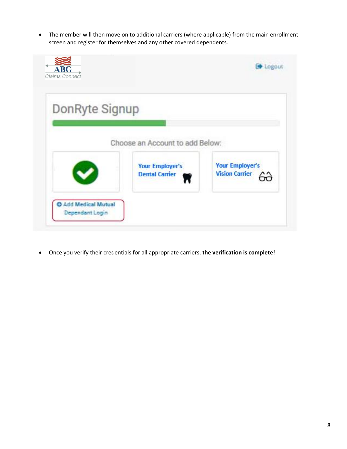The member will then move on to additional carriers (where applicable) from the main enrollment screen and register for themselves and any other covered dependents.

| <b>ABG</b><br>Claims Connect            |                                                 | <b>EXAMPLE</b>                                  |
|-----------------------------------------|-------------------------------------------------|-------------------------------------------------|
| DonRyte Signup                          |                                                 |                                                 |
|                                         | Choose an Account to add Below:                 |                                                 |
|                                         | <b>Your Employer's</b><br><b>Dental Carrier</b> | <b>Your Employer's</b><br><b>Vision Carrier</b> |
| O Add Medical Mutual<br>Dependant Login |                                                 |                                                 |

Once you verify their credentials for all appropriate carriers, **the verification is complete!**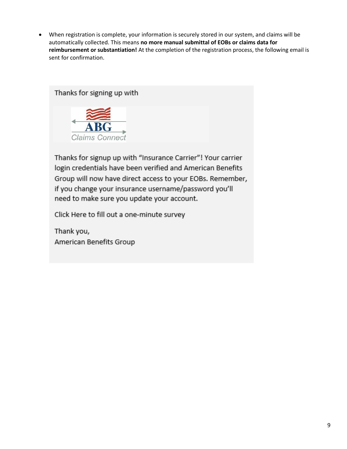When registration is complete, your information is securely stored in our system, and claims will be automatically collected. This means **no more manual submittal of EOBs or claims data for reimbursement or substantiation!** At the completion of the registration process, the following email is sent for confirmation.





Thanks for signup up with "Insurance Carrier"! Your carrier login credentials have been verified and American Benefits Group will now have direct access to your EOBs. Remember, if you change your insurance username/password you'll need to make sure you update your account.

Click Here to fill out a one-minute survey

Thank you, American Benefits Group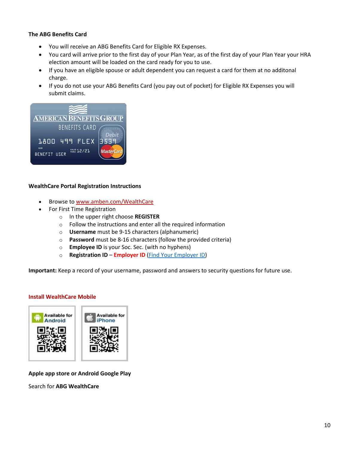#### **The ABG Benefits Card**

- You will receive an ABG Benefits Card for Eligible RX Expenses.
- You card will arrive prior to the first day of your Plan Year, as of the first day of your Plan Year your HRA election amount will be loaded on the card ready for you to use.
- If you have an eligible spouse or adult dependent you can request a card for them at no additonal charge.
- If you do not use your ABG Benefits Card (you pay out of pocket) for Eligible RX Expenses you will submit claims.



#### **WealthCare Portal Registration Instructions**

- Browse to [www.amben.com/WealthCare](http://www.amben.com/WealthCare)
- For First Time Registration
	- o In the upper right choose **REGISTER**
	- o Follow the instructions and enter all the required information
	- o **Username** must be 9-15 characters (alphanumeric)
	- o **Password** must be 8-16 characters (follow the provided criteria)
	- o **Employee ID** is your Soc. Sec. (with no hyphens)
	- o **Registration ID Employer ID** (Find Your [Employer ID\)](https://www.amben.com/employer-search.html)

**Important:** Keep a record of your username, password and answers to security questions for future use.

#### **Install WealthCare Mobile**



**Apple app store or Android Google Play**

Search for **ABG WealthCare**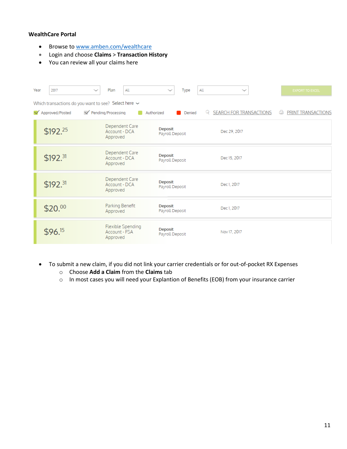#### **WealthCare Portal**

- Browse to [www.amben.com/wealthcare](http://www.amben.com/wealthcare)
- Login and choose **Claims** > **Transaction History**
- You can review all your claims here

| Year                                                      | 2017                 | Plan<br>All                                    | All<br><b>Type</b><br>$\checkmark$ | $\checkmark$                        | <b>EXPORT TO EXCEL</b>  |  |
|-----------------------------------------------------------|----------------------|------------------------------------------------|------------------------------------|-------------------------------------|-------------------------|--|
| Which transactions do you want to see? Select here $\sim$ |                      |                                                |                                    |                                     |                         |  |
|                                                           | Approved/Posted      | $\sqrt{}$ Pending/Processing                   | Authorized<br>Denied               | <b>SEARCH FOR TRANSACTIONS</b><br>Q | PRINT TRANSACTIONS<br>Ġ |  |
|                                                           | \$192.25             | Dependent Care<br>Account - DCA<br>Approved    | <b>Deposit</b><br>Payroll Deposit  | Dec 29, 2017                        |                         |  |
|                                                           | \$192. <sup>31</sup> | Dependent Care<br>Account - DCA<br>Approved    | <b>Deposit</b><br>Payroll Deposit  | Dec 15, 2017                        |                         |  |
|                                                           | \$192. <sup>31</sup> | Dependent Care<br>Account - DCA<br>Approved    | <b>Deposit</b><br>Payroll Deposit  | Dec 1, 2017                         |                         |  |
|                                                           | \$20.00              | Parking Benefit<br>Approved                    | <b>Deposit</b><br>Payroll Deposit  | Dec 1, 2017                         |                         |  |
|                                                           | \$96.15              | Flexible Spending<br>Account - FSA<br>Approved | <b>Deposit</b><br>Payroll Deposit  | Nov 17, 2017                        |                         |  |

- To submit a new claim, if you did not link your carrier credentials or for out-of-pocket RX Expenses
	- o Choose **Add a Claim** from the **Claims** tab
	- o In most cases you will need your Explantion of Benefits (EOB) from your insurance carrier